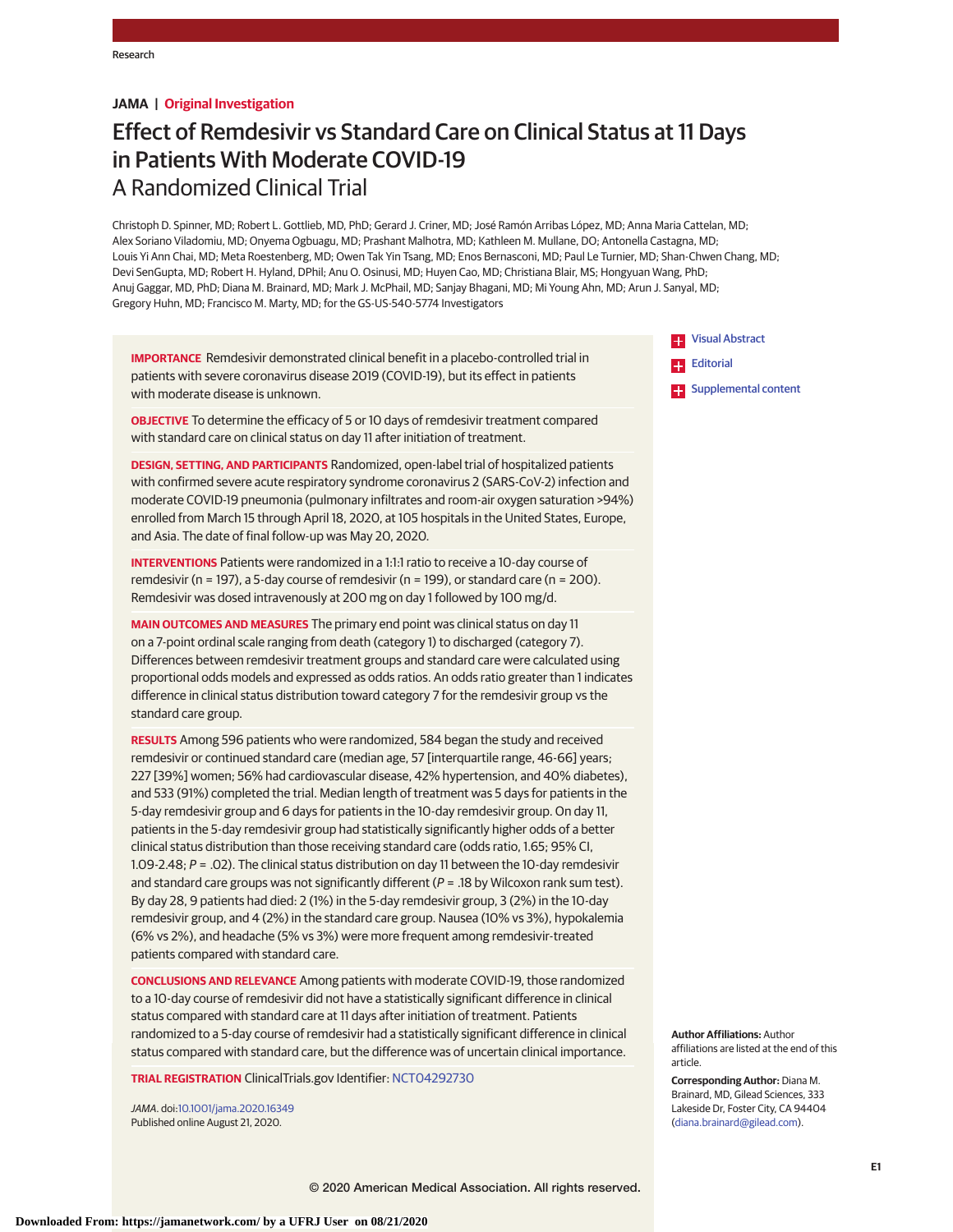# **JAMA | Original Investigation**

# Effect of Remdesivir vs Standard Care on Clinical Status at 11 Days in Patients With Moderate COVID-19 A Randomized Clinical Trial

Christoph D. Spinner, MD; Robert L. Gottlieb, MD, PhD; Gerard J. Criner, MD; José Ramón Arribas López, MD; Anna Maria Cattelan, MD; Alex Soriano Viladomiu, MD; Onyema Ogbuagu, MD; Prashant Malhotra, MD; Kathleen M. Mullane, DO; Antonella Castagna, MD; Louis Yi Ann Chai, MD; Meta Roestenberg, MD; Owen Tak Yin Tsang, MD; Enos Bernasconi, MD; Paul Le Turnier, MD; Shan-Chwen Chang, MD; Devi SenGupta, MD; Robert H. Hyland, DPhil; Anu O. Osinusi, MD; Huyen Cao, MD; Christiana Blair, MS; Hongyuan Wang, PhD; Anuj Gaggar, MD, PhD; Diana M. Brainard, MD; Mark J. McPhail, MD; Sanjay Bhagani, MD; Mi Young Ahn, MD; Arun J. Sanyal, MD; Gregory Huhn, MD; Francisco M. Marty, MD; for the GS-US-540-5774 Investigators

**IMPORTANCE** Remdesivir demonstrated clinical benefit in a placebo-controlled trial in patients with severe coronavirus disease 2019 (COVID-19), but its effect in patients with moderate disease is unknown.

**OBJECTIVE** To determine the efficacy of 5 or 10 days of remdesivir treatment compared with standard care on clinical status on day 11 after initiation of treatment.

**DESIGN, SETTING, AND PARTICIPANTS** Randomized, open-label trial of hospitalized patients with confirmed severe acute respiratory syndrome coronavirus 2 (SARS-CoV-2) infection and moderate COVID-19 pneumonia (pulmonary infiltrates and room-air oxygen saturation >94%) enrolled from March 15 through April 18, 2020, at 105 hospitals in the United States, Europe, and Asia. The date of final follow-up was May 20, 2020.

**INTERVENTIONS** Patients were randomized in a 1:1:1 ratio to receive a 10-day course of remdesivir (n = 197), a 5-day course of remdesivir (n = 199), or standard care (n = 200). Remdesivir was dosed intravenously at 200 mg on day 1 followed by 100 mg/d.

**MAIN OUTCOMES AND MEASURES** The primary end point was clinical status on day 11 on a 7-point ordinal scale ranging from death (category 1) to discharged (category 7). Differences between remdesivir treatment groups and standard care were calculated using proportional odds models and expressed as odds ratios. An odds ratio greater than 1 indicates difference in clinical status distribution toward category 7 for the remdesivir group vs the standard care group.

**RESULTS** Among 596 patients who were randomized, 584 began the study and received remdesivir or continued standard care (median age, 57 [interquartile range, 46-66] years; 227 [39%] women; 56% had cardiovascular disease, 42% hypertension, and 40% diabetes), and 533 (91%) completed the trial. Median length of treatment was 5 days for patients in the 5-day remdesivir group and 6 days for patients in the 10-day remdesivir group. On day 11, patients in the 5-day remdesivir group had statistically significantly higher odds of a better clinical status distribution than those receiving standard care (odds ratio, 1.65; 95% CI, 1.09-2.48; P = .02). The clinical status distribution on day 11 between the 10-day remdesivir and standard care groups was not significantly different ( $P = .18$  by Wilcoxon rank sum test). By day 28, 9 patients had died: 2 (1%) in the 5-day remdesivir group, 3 (2%) in the 10-day remdesivir group, and 4 (2%) in the standard care group. Nausea (10% vs 3%), hypokalemia (6% vs 2%), and headache (5% vs 3%) were more frequent among remdesivir-treated patients compared with standard care.

**CONCLUSIONS AND RELEVANCE** Among patients with moderate COVID-19, those randomized to a 10-day course of remdesivir did not have a statistically significant difference in clinical status compared with standard care at 11 days after initiation of treatment. Patients randomized to a 5-day course of remdesivir had a statistically significant difference in clinical status compared with standard care, but the difference was of uncertain clinical importance.

**TRIAL REGISTRATION** ClinicalTrials.gov Identifier: [NCT04292730](https://clinicaltrials.gov/ct2/show/NCT04292730)

JAMA. doi[:10.1001/jama.2020.16349](https://jamanetwork.com/journals/jama/fullarticle/10.1001/jama.2020.16349?utm_campaign=articlePDF%26utm_medium=articlePDFlink%26utm_source=articlePDF%26utm_content=jama.2020.16349) Published online August 21, 2020.

**TH** [Visual Abstract](https://jamanetwork.com/journals/jama/fullarticle/10.1001/jama.2020.16349?utm_campaign=articlePDF%26utm_medium=articlePDFlink%26utm_source=articlePDF%26utm_content=jama.2020.16349) [Editorial](https://jamanetwork.com/journals/jama/fullarticle/10.1001/jama.2020.16337?utm_campaign=articlePDF%26utm_medium=articlePDFlink%26utm_source=articlePDF%26utm_content=jama.2020.16349)

**Examplemental content** 

**Author Affiliations:** Author affiliations are listed at the end of this article.

**Corresponding Author:** Diana M. Brainard, MD, Gilead Sciences, 333 Lakeside Dr, Foster City, CA 94404 [\(diana.brainard@gilead.com\)](mailto:diana.brainard@gilead.com).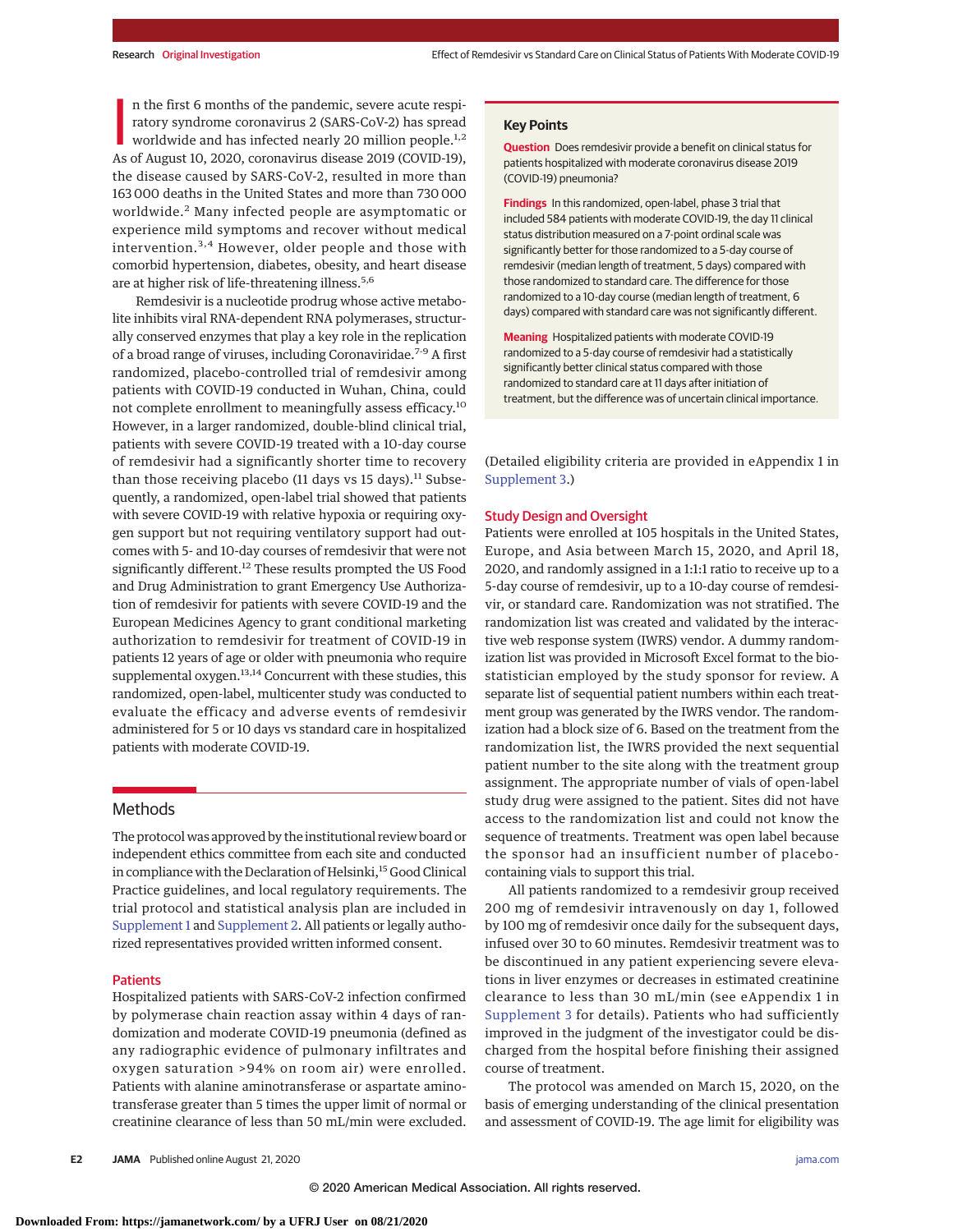n the first 6 months of the pandemic, severe acute respiratory syndrome coronavirus 2 (SARS-CoV-2) has spread worldwide and has infected nearly 20 million people.<sup>1,2</sup> As of August 10, 2020, coronavirus disease 2019 (COVID n the first 6 months of the pandemic, severe acute respiratory syndrome coronavirus 2 (SARS-CoV-2) has spread worldwide and has infected nearly 20 million people.<sup>1,2</sup> the disease caused by SARS-CoV-2, resulted in more than 163 000 deaths in the United States and more than 730 000 worldwide.<sup>2</sup> Many infected people are asymptomatic or experience mild symptoms and recover without medical intervention.3,4 However, older people and those with comorbid hypertension, diabetes, obesity, and heart disease are at higher risk of life-threatening illness.<sup>5,6</sup>

Remdesivir is a nucleotide prodrug whose active metabolite inhibits viral RNA-dependent RNA polymerases, structurally conserved enzymes that play a key role in the replication of a broad range of viruses, including Coronaviridae.<sup>7-9</sup> A first randomized, placebo-controlled trial of remdesivir among patients with COVID-19 conducted in Wuhan, China, could not complete enrollment to meaningfully assess efficacy.<sup>10</sup> However, in a larger randomized, double-blind clinical trial, patients with severe COVID-19 treated with a 10-day course of remdesivir had a significantly shorter time to recovery than those receiving placebo (11 days vs 15 days).<sup>11</sup> Subsequently, a randomized, open-label trial showed that patients with severe COVID-19 with relative hypoxia or requiring oxygen support but not requiring ventilatory support had outcomes with 5- and 10-day courses of remdesivir that were not significantly different.<sup>12</sup> These results prompted the US Food and Drug Administration to grant Emergency Use Authorization of remdesivir for patients with severe COVID-19 and the European Medicines Agency to grant conditional marketing authorization to remdesivir for treatment of COVID-19 in patients 12 years of age or older with pneumonia who require supplemental oxygen.<sup>13,14</sup> Concurrent with these studies, this randomized, open-label, multicenter study was conducted to evaluate the efficacy and adverse events of remdesivir administered for 5 or 10 days vs standard care in hospitalized patients with moderate COVID-19.

# Methods

The protocol was approved by the institutional review board or independent ethics committee from each site and conducted in compliance with the Declaration of Helsinki,<sup>15</sup> Good Clinical Practice guidelines, and local regulatory requirements. The trial protocol and statistical analysis plan are included in [Supplement 1](https://jamanetwork.com/journals/jama/fullarticle/10.1001/jama.2020.16349?utm_campaign=articlePDF%26utm_medium=articlePDFlink%26utm_source=articlePDF%26utm_content=jama.2020.16349) and [Supplement 2.](https://jamanetwork.com/journals/jama/fullarticle/10.1001/jama.2020.16349?utm_campaign=articlePDF%26utm_medium=articlePDFlink%26utm_source=articlePDF%26utm_content=jama.2020.16349) All patients or legally authorized representatives provided written informed consent.

#### **Patients**

Hospitalized patients with SARS-CoV-2 infection confirmed by polymerase chain reaction assay within 4 days of randomization and moderate COVID-19 pneumonia (defined as any radiographic evidence of pulmonary infiltrates and oxygen saturation >94% on room air) were enrolled. Patients with alanine aminotransferase or aspartate aminotransferase greater than 5 times the upper limit of normal or creatinine clearance of less than 50 mL/min were excluded.

## **Key Points**

**Question** Does remdesivir provide a benefit on clinical status for patients hospitalized with moderate coronavirus disease 2019 (COVID-19) pneumonia?

**Findings** In this randomized, open-label, phase 3 trial that included 584 patients with moderate COVID-19, the day 11 clinical status distribution measured on a 7-point ordinal scale was significantly better for those randomized to a 5-day course of remdesivir (median length of treatment, 5 days) compared with those randomized to standard care. The difference for those randomized to a 10-day course (median length of treatment, 6 days) compared with standard care was not significantly different.

**Meaning** Hospitalized patients with moderate COVID-19 randomized to a 5-day course of remdesivir had a statistically significantly better clinical status compared with those randomized to standard care at 11 days after initiation of treatment, but the difference was of uncertain clinical importance.

(Detailed eligibility criteria are provided in eAppendix 1 in [Supplement 3.](https://jamanetwork.com/journals/jama/fullarticle/10.1001/jama.2020.16349?utm_campaign=articlePDF%26utm_medium=articlePDFlink%26utm_source=articlePDF%26utm_content=jama.2020.16349))

#### Study Design and Oversight

Patients were enrolled at 105 hospitals in the United States, Europe, and Asia between March 15, 2020, and April 18, 2020, and randomly assigned in a 1:1:1 ratio to receive up to a 5-day course of remdesivir, up to a 10-day course of remdesivir, or standard care. Randomization was not stratified. The randomization list was created and validated by the interactive web response system (IWRS) vendor. A dummy randomization list was provided in Microsoft Excel format to the biostatistician employed by the study sponsor for review. A separate list of sequential patient numbers within each treatment group was generated by the IWRS vendor. The randomization had a block size of 6. Based on the treatment from the randomization list, the IWRS provided the next sequential patient number to the site along with the treatment group assignment. The appropriate number of vials of open-label study drug were assigned to the patient. Sites did not have access to the randomization list and could not know the sequence of treatments. Treatment was open label because the sponsor had an insufficient number of placebocontaining vials to support this trial.

All patients randomized to a remdesivir group received 200 mg of remdesivir intravenously on day 1, followed by 100 mg of remdesivir once daily for the subsequent days, infused over 30 to 60 minutes. Remdesivir treatment was to be discontinued in any patient experiencing severe elevations in liver enzymes or decreases in estimated creatinine clearance to less than 30 mL/min (see eAppendix 1 in [Supplement 3](https://jamanetwork.com/journals/jama/fullarticle/10.1001/jama.2020.16349?utm_campaign=articlePDF%26utm_medium=articlePDFlink%26utm_source=articlePDF%26utm_content=jama.2020.16349) for details). Patients who had sufficiently improved in the judgment of the investigator could be discharged from the hospital before finishing their assigned course of treatment.

The protocol was amended on March 15, 2020, on the basis of emerging understanding of the clinical presentation and assessment of COVID-19. The age limit for eligibility was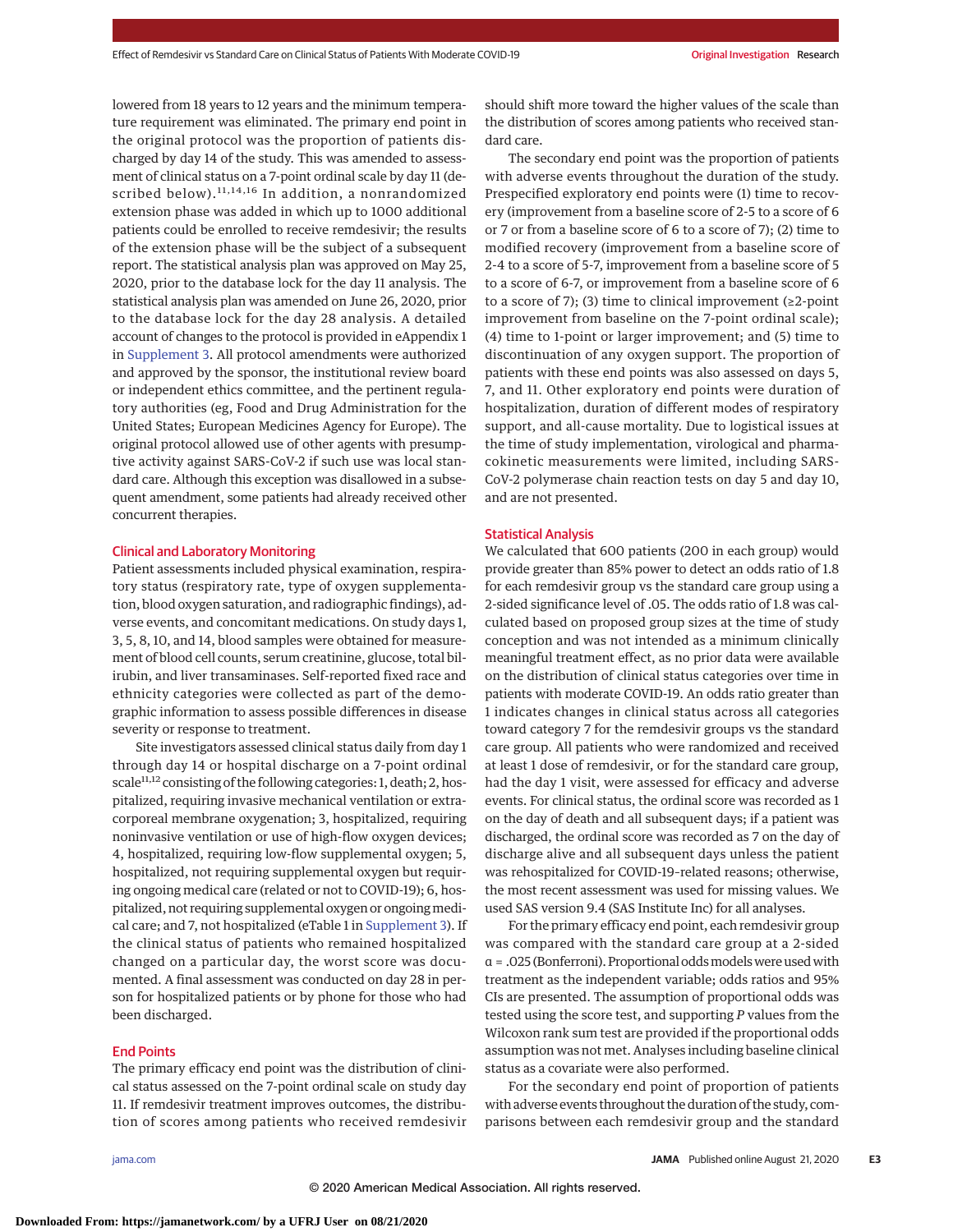lowered from 18 years to 12 years and the minimum temperature requirement was eliminated. The primary end point in the original protocol was the proportion of patients discharged by day 14 of the study. This was amended to assessment of clinical status on a 7-point ordinal scale by day 11 (described below).<sup>11,14,16</sup> In addition, a nonrandomized extension phase was added in which up to 1000 additional patients could be enrolled to receive remdesivir; the results of the extension phase will be the subject of a subsequent report. The statistical analysis plan was approved on May 25, 2020, prior to the database lock for the day 11 analysis. The statistical analysis plan was amended on June 26, 2020, prior to the database lock for the day 28 analysis. A detailed account of changes to the protocol is provided in eAppendix 1 in [Supplement 3.](https://jamanetwork.com/journals/jama/fullarticle/10.1001/jama.2020.16349?utm_campaign=articlePDF%26utm_medium=articlePDFlink%26utm_source=articlePDF%26utm_content=jama.2020.16349) All protocol amendments were authorized and approved by the sponsor, the institutional review board or independent ethics committee, and the pertinent regulatory authorities (eg, Food and Drug Administration for the United States; European Medicines Agency for Europe). The original protocol allowed use of other agents with presumptive activity against SARS-CoV-2 if such use was local standard care. Although this exception was disallowed in a subsequent amendment, some patients had already received other concurrent therapies.

## Clinical and Laboratory Monitoring

Patient assessments included physical examination, respiratory status (respiratory rate, type of oxygen supplementation, blood oxygen saturation, and radiographic findings), adverse events, and concomitant medications. On study days 1, 3, 5, 8, 10, and 14, blood samples were obtained for measurement of blood cell counts, serum creatinine, glucose, total bilirubin, and liver transaminases. Self-reported fixed race and ethnicity categories were collected as part of the demographic information to assess possible differences in disease severity or response to treatment.

Site investigators assessed clinical status daily from day 1 through day 14 or hospital discharge on a 7-point ordinal scale<sup>11,12</sup> consisting of the following categories: 1, death; 2, hospitalized, requiring invasive mechanical ventilation or extracorporeal membrane oxygenation; 3, hospitalized, requiring noninvasive ventilation or use of high-flow oxygen devices; 4, hospitalized, requiring low-flow supplemental oxygen; 5, hospitalized, not requiring supplemental oxygen but requiring ongoing medical care (related or not to COVID-19); 6, hospitalized, not requiring supplemental oxygen or ongoing medical care; and 7, not hospitalized (eTable 1 in [Supplement 3\)](https://jamanetwork.com/journals/jama/fullarticle/10.1001/jama.2020.16349?utm_campaign=articlePDF%26utm_medium=articlePDFlink%26utm_source=articlePDF%26utm_content=jama.2020.16349). If the clinical status of patients who remained hospitalized changed on a particular day, the worst score was documented. A final assessment was conducted on day 28 in person for hospitalized patients or by phone for those who had been discharged.

# End Points

The primary efficacy end point was the distribution of clinical status assessed on the 7-point ordinal scale on study day 11. If remdesivir treatment improves outcomes, the distribution of scores among patients who received remdesivir should shift more toward the higher values of the scale than the distribution of scores among patients who received standard care.

The secondary end point was the proportion of patients with adverse events throughout the duration of the study. Prespecified exploratory end points were (1) time to recovery (improvement from a baseline score of 2-5 to a score of 6 or 7 or from a baseline score of 6 to a score of 7); (2) time to modified recovery (improvement from a baseline score of 2-4 to a score of 5-7, improvement from a baseline score of 5 to a score of 6-7, or improvement from a baseline score of 6 to a score of 7); (3) time to clinical improvement ( $\geq 2$ -point improvement from baseline on the 7-point ordinal scale); (4) time to 1-point or larger improvement; and (5) time to discontinuation of any oxygen support. The proportion of patients with these end points was also assessed on days 5, 7, and 11. Other exploratory end points were duration of hospitalization, duration of different modes of respiratory support, and all-cause mortality. Due to logistical issues at the time of study implementation, virological and pharmacokinetic measurements were limited, including SARS-CoV-2 polymerase chain reaction tests on day 5 and day 10, and are not presented.

# Statistical Analysis

We calculated that 600 patients (200 in each group) would provide greater than 85% power to detect an odds ratio of 1.8 for each remdesivir group vs the standard care group using a 2-sided significance level of .05. The odds ratio of 1.8 was calculated based on proposed group sizes at the time of study conception and was not intended as a minimum clinically meaningful treatment effect, as no prior data were available on the distribution of clinical status categories over time in patients with moderate COVID-19. An odds ratio greater than 1 indicates changes in clinical status across all categories toward category 7 for the remdesivir groups vs the standard care group. All patients who were randomized and received at least 1 dose of remdesivir, or for the standard care group, had the day 1 visit, were assessed for efficacy and adverse events. For clinical status, the ordinal score was recorded as 1 on the day of death and all subsequent days; if a patient was discharged, the ordinal score was recorded as 7 on the day of discharge alive and all subsequent days unless the patient was rehospitalized for COVID-19–related reasons; otherwise, the most recent assessment was used for missing values. We used SAS version 9.4 (SAS Institute Inc) for all analyses.

For the primary efficacy end point, each remdesivir group was compared with the standard care group at a 2-sided α = .025 (Bonferroni). Proportional oddsmodelswere usedwith treatment as the independent variable; odds ratios and 95% CIs are presented. The assumption of proportional odds was tested using the score test, and supporting *P* values from the Wilcoxon rank sum test are provided if the proportional odds assumption was not met. Analyses including baseline clinical status as a covariate were also performed.

For the secondary end point of proportion of patients with adverse events throughout the duration of the study, comparisons between each remdesivir group and the standard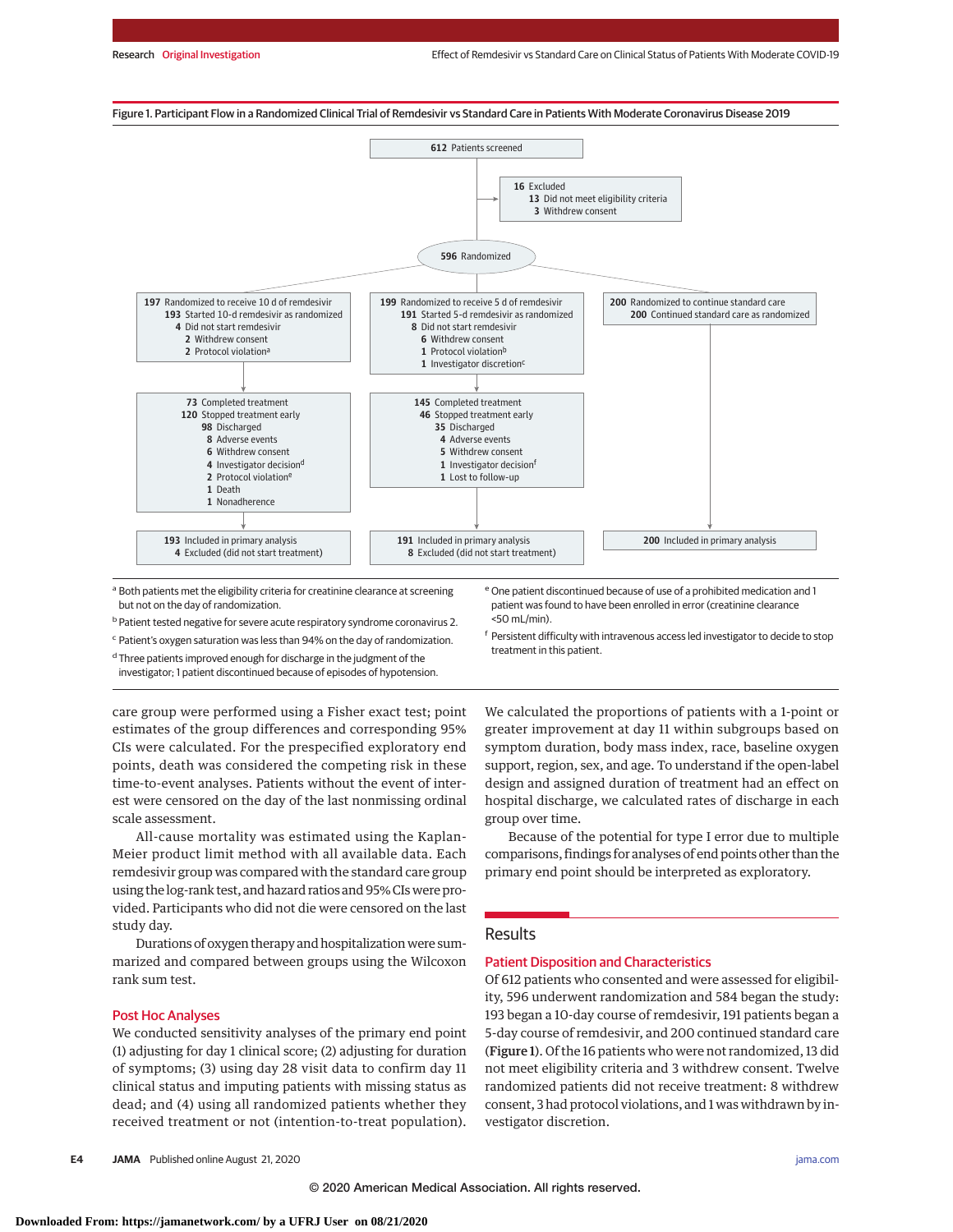

<sup>a</sup> Both patients met the eligibility criteria for creatinine clearance at screening but not on the day of randomization.

b Patient tested negative for severe acute respiratory syndrome coronavirus 2.

<sup>c</sup> Patient's oxygen saturation was less than 94% on the day of randomization.

<sup>d</sup> Three patients improved enough for discharge in the judgment of the investigator; 1 patient discontinued because of episodes of hypotension. e One patient discontinued because of use of a prohibited medication and 1 patient was found to have been enrolled in error (creatinine clearance <50 mL/min).

<sup>f</sup> Persistent difficulty with intravenous access led investigator to decide to stop treatment in this patient.

care group were performed using a Fisher exact test; point estimates of the group differences and corresponding 95% CIs were calculated. For the prespecified exploratory end points, death was considered the competing risk in these time-to-event analyses. Patients without the event of interest were censored on the day of the last nonmissing ordinal scale assessment.

All-cause mortality was estimated using the Kaplan-Meier product limit method with all available data. Each remdesivir group was compared with the standard care group using the log-rank test, and hazard ratios and 95% CIs were provided. Participants who did not die were censored on the last study day.

Durations of oxygen therapy and hospitalization were summarized and compared between groups using the Wilcoxon rank sum test.

# Post Hoc Analyses

We conducted sensitivity analyses of the primary end point (1) adjusting for day 1 clinical score; (2) adjusting for duration of symptoms; (3) using day 28 visit data to confirm day 11 clinical status and imputing patients with missing status as dead; and (4) using all randomized patients whether they received treatment or not (intention-to-treat population).

**E4 JAMA** Published online August 21, 2020 **(Reprinted)** [jama.com](http://www.jama.com?utm_campaign=articlePDF%26utm_medium=articlePDFlink%26utm_source=articlePDF%26utm_content=jama.2020.16349)

We calculated the proportions of patients with a 1-point or greater improvement at day 11 within subgroups based on symptom duration, body mass index, race, baseline oxygen support, region, sex, and age. To understand if the open-label design and assigned duration of treatment had an effect on hospital discharge, we calculated rates of discharge in each group over time.

Because of the potential for type I error due to multiple comparisons, findings for analyses of end points other than the primary end point should be interpreted as exploratory.

# **Results**

# Patient Disposition and Characteristics

Of 612 patients who consented and were assessed for eligibility, 596 underwent randomization and 584 began the study: 193 began a 10-day course of remdesivir, 191 patients began a 5-day course of remdesivir, and 200 continued standard care (Figure 1). Of the 16 patients who were not randomized, 13 did not meet eligibility criteria and 3 withdrew consent. Twelve randomized patients did not receive treatment: 8 withdrew consent, 3 had protocol violations, and 1 was withdrawn by investigator discretion.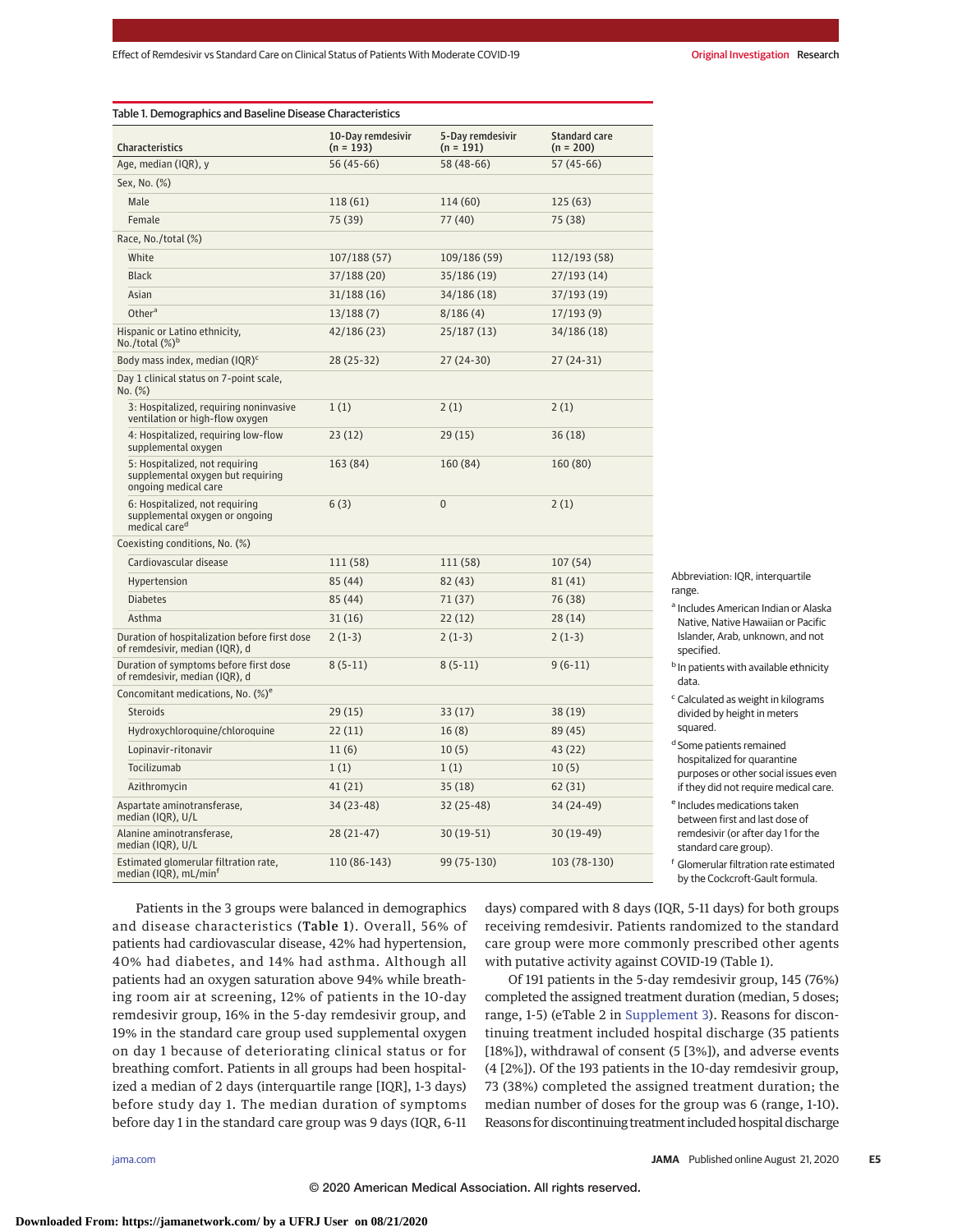| Characteristics                                                                               | 10-Day remdesivir<br>$(n = 193)$ | 5-Day remdesivir<br>$(n = 191)$ | <b>Standard care</b><br>$(n = 200)$ |
|-----------------------------------------------------------------------------------------------|----------------------------------|---------------------------------|-------------------------------------|
| Age, median (IQR), y                                                                          | $56(45-66)$                      | 58 (48-66)                      | $57(45-66)$                         |
| Sex, No. (%)                                                                                  |                                  |                                 |                                     |
| Male                                                                                          | 118 (61)                         | 114 (60)                        | 125 (63)                            |
| Female                                                                                        | 75 (39)                          | 77 (40)                         | 75 (38)                             |
| Race, No./total (%)                                                                           |                                  |                                 |                                     |
| White                                                                                         | 107/188 (57)                     | 109/186 (59)                    | 112/193 (58)                        |
| <b>Black</b>                                                                                  | 37/188 (20)                      | 35/186 (19)                     | 27/193 (14)                         |
| Asian                                                                                         | 31/188(16)                       | 34/186 (18)                     | 37/193 (19)                         |
| Other <sup>a</sup>                                                                            | 13/188(7)                        | 8/186(4)                        | 17/193(9)                           |
| Hispanic or Latino ethnicity,<br>No./total $(\%)^b$                                           | 42/186 (23)                      | 25/187 (13)                     | 34/186 (18)                         |
| Body mass index, median (IQR) <sup>c</sup>                                                    | 28 (25-32)                       | $27(24-30)$                     | $27(24-31)$                         |
| Day 1 clinical status on 7-point scale,<br>No. (%)                                            |                                  |                                 |                                     |
| 3: Hospitalized, requiring noninvasive<br>ventilation or high-flow oxygen                     | 1(1)                             | 2(1)                            | 2(1)                                |
| 4: Hospitalized, requiring low-flow<br>supplemental oxygen                                    | 23(12)                           | 29(15)                          | 36(18)                              |
| 5: Hospitalized, not requiring<br>supplemental oxygen but requiring<br>ongoing medical care   | 163 (84)                         | 160 (84)                        | 160 (80)                            |
| 6: Hospitalized, not requiring<br>supplemental oxygen or ongoing<br>medical care <sup>d</sup> | 6(3)                             | $\overline{0}$                  | 2(1)                                |
| Coexisting conditions, No. (%)                                                                |                                  |                                 |                                     |
| Cardiovascular disease                                                                        | 111 (58)                         | 111 (58)                        | 107(54)                             |
| Hypertension                                                                                  | 85 (44)                          | 82(43)                          | 81(41)                              |
| <b>Diabetes</b>                                                                               | 85 (44)                          | 71(37)                          | 76 (38)                             |
| Asthma                                                                                        | 31(16)                           | 22(12)                          | 28 (14)                             |
| Duration of hospitalization before first dose<br>of remdesivir, median (IQR), d               | $2(1-3)$                         | $2(1-3)$                        | $2(1-3)$                            |
| Duration of symptoms before first dose<br>of remdesivir, median (IQR), d                      | $8(5-11)$                        | $8(5-11)$                       | $9(6-11)$                           |
| Concomitant medications, No. (%) <sup>e</sup>                                                 |                                  |                                 |                                     |
| <b>Steroids</b>                                                                               | 29(15)                           | 33(17)                          | 38 (19)                             |
| Hydroxychloroquine/chloroquine                                                                | 22(11)                           | 16(8)                           | 89 (45)                             |
| Lopinavir-ritonavir                                                                           | 11(6)                            | 10(5)                           | 43 (22)                             |
| Tocilizumab                                                                                   | 1(1)                             | 1(1)                            | 10(5)                               |
| Azithromycin                                                                                  | 41(21)                           | 35(18)                          | 62(31)                              |
| Aspartate aminotransferase,<br>median (IQR), U/L                                              | 34 (23-48)                       | 32 (25-48)                      | 34 (24-49)                          |
| Alanine aminotransferase,<br>median (IQR), U/L                                                | $28(21-47)$                      | 30 (19-51)                      | 30 (19-49)                          |
| Estimated glomerular filtration rate,<br>median (IQR), mL/min <sup>f</sup>                    | 110 (86-143)                     | 99 (75-130)                     | 103 (78-130)                        |

Abbreviation: IOR, interquartile range.

- <sup>a</sup> Includes American Indian or Alaska Native, Native Hawaiian or Pacific Islander, Arab, unknown, and not specified.
- **b** In patients with available ethnicity data.
- <sup>c</sup> Calculated as weight in kilograms divided by height in meters squared.
- <sup>d</sup> Some patients remained hospitalized for quarantine purposes or other social issues even if they did not require medical care.
- <sup>e</sup> Includes medications taken between first and last dose of remdesivir (or after day 1 for the standard care group).
- <sup>f</sup> Glomerular filtration rate estimated by the Cockcroft-Gault formula.

Patients in the 3 groups were balanced in demographics and disease characteristics (Table 1). Overall, 56% of patients had cardiovascular disease, 42% had hypertension, 40% had diabetes, and 14% had asthma. Although all patients had an oxygen saturation above 94% while breathing room air at screening, 12% of patients in the 10-day remdesivir group, 16% in the 5-day remdesivir group, and 19% in the standard care group used supplemental oxygen on day 1 because of deteriorating clinical status or for breathing comfort. Patients in all groups had been hospitalized a median of 2 days (interquartile range [IQR], 1-3 days) before study day 1. The median duration of symptoms before day 1 in the standard care group was 9 days (IQR, 6-11

days) compared with 8 days (IQR, 5-11 days) for both groups receiving remdesivir. Patients randomized to the standard care group were more commonly prescribed other agents with putative activity against COVID-19 (Table 1).

Of 191 patients in the 5-day remdesivir group, 145 (76%) completed the assigned treatment duration (median, 5 doses; range, 1-5) (eTable 2 in [Supplement 3\)](https://jamanetwork.com/journals/jama/fullarticle/10.1001/jama.2020.16349?utm_campaign=articlePDF%26utm_medium=articlePDFlink%26utm_source=articlePDF%26utm_content=jama.2020.16349). Reasons for discontinuing treatment included hospital discharge (35 patients [18%]), withdrawal of consent (5 [3%]), and adverse events (4 [2%]). Of the 193 patients in the 10-day remdesivir group, 73 (38%) completed the assigned treatment duration; the median number of doses for the group was 6 (range, 1-10). Reasons for discontinuing treatment included hospital discharge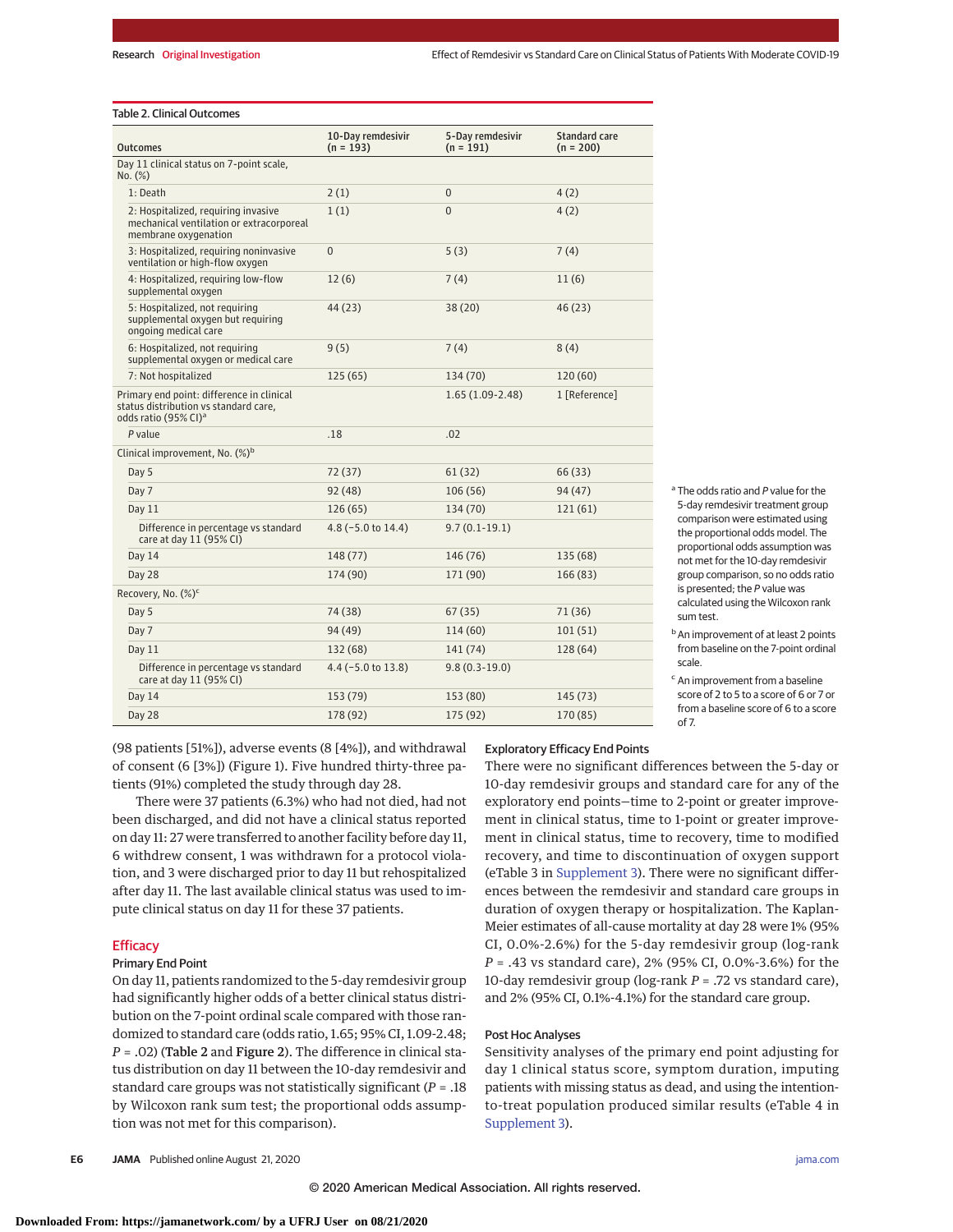## Table 2. Clinical Outcomes

| <b>Outcomes</b>                                                                                                        | 10-Day remdesivir<br>$(n = 193)$ | 5-Day remdesivir<br>$(n = 191)$ | <b>Standard care</b><br>$(n = 200)$ |
|------------------------------------------------------------------------------------------------------------------------|----------------------------------|---------------------------------|-------------------------------------|
| Day 11 clinical status on 7-point scale,<br>No. (%)                                                                    |                                  |                                 |                                     |
| 1: Death                                                                                                               | 2(1)                             | $\mathbf{0}$                    | 4(2)                                |
| 2: Hospitalized, requiring invasive<br>mechanical ventilation or extracorporeal<br>membrane oxygenation                | 1(1)                             | $\overline{0}$                  | 4(2)                                |
| 3: Hospitalized, requiring noninvasive<br>ventilation or high-flow oxygen                                              | 0                                | 5(3)                            | 7(4)                                |
| 4: Hospitalized, requiring low-flow<br>supplemental oxygen                                                             | 12(6)                            | 7(4)                            | 11(6)                               |
| 5: Hospitalized, not requiring<br>supplemental oxygen but requiring<br>ongoing medical care                            | 44 (23)                          | 38(20)                          | 46(23)                              |
| 6: Hospitalized, not requiring<br>supplemental oxygen or medical care                                                  | 9(5)                             | 7(4)                            | 8(4)                                |
| 7: Not hospitalized                                                                                                    | 125(65)                          | 134 (70)                        | 120 (60)                            |
| Primary end point: difference in clinical<br>status distribution vs standard care,<br>odds ratio (95% CI) <sup>a</sup> |                                  | $1.65(1.09-2.48)$               | 1 [Reference]                       |
| P value                                                                                                                | .18                              | .02                             |                                     |
| Clinical improvement, No. (%) <sup>b</sup>                                                                             |                                  |                                 |                                     |
| Day 5                                                                                                                  | 72 (37)                          | 61(32)                          | 66 (33)                             |
| Day 7                                                                                                                  | 92 (48)                          | 106(56)                         | 94 (47)                             |
| Day 11                                                                                                                 | 126(65)                          | 134 (70)                        | 121(61)                             |
| Difference in percentage vs standard<br>care at day 11 (95% CI)                                                        | $4.8$ (-5.0 to 14.4)             | $9.7(0.1-19.1)$                 |                                     |
| Day 14                                                                                                                 | 148 (77)                         | 146 (76)                        | 135 (68)                            |
| Day 28                                                                                                                 | 174 (90)                         | 171 (90)                        | 166 (83)                            |
| Recovery, No. (%) <sup>c</sup>                                                                                         |                                  |                                 |                                     |
| Day 5                                                                                                                  | 74 (38)                          | 67(35)                          | 71 (36)                             |
| Day 7                                                                                                                  | 94 (49)                          | 114 (60)                        | 101(51)                             |
| Day 11                                                                                                                 | 132 (68)                         | 141 (74)                        | 128 (64)                            |
| Difference in percentage vs standard<br>care at day 11 (95% CI)                                                        | $4.4$ (-5.0 to 13.8)             | $9.8(0.3-19.0)$                 |                                     |
| Day 14                                                                                                                 | 153 (79)                         | 153 (80)                        | 145 (73)                            |
| Day 28                                                                                                                 | 178 (92)                         | 175 (92)                        | 170 (85)                            |

<sup>a</sup> The odds ratio and P value for the 5-day remdesivir treatment group comparison were estimated using the proportional odds model. The proportional odds assumption was not met for the 10-day remdesivir group comparison, so no odds ratio is presented; the P value was calculated using the Wilcoxon rank sum test.

<sup>b</sup> An improvement of at least 2 points from baseline on the 7-point ordinal scale.

<sup>c</sup> An improvement from a baseline score of 2 to 5 to a score of 6 or 7 or from a baseline score of 6 to a score of 7.

(98 patients [51%]), adverse events (8 [4%]), and withdrawal of consent (6 [3%]) (Figure 1). Five hundred thirty-three patients (91%) completed the study through day 28.

There were 37 patients (6.3%) who had not died, had not been discharged, and did not have a clinical status reported on day 11: 27 were transferred to another facility before day 11, 6 withdrew consent, 1 was withdrawn for a protocol violation, and 3 were discharged prior to day 11 but rehospitalized after day 11. The last available clinical status was used to impute clinical status on day 11 for these 37 patients.

# **Efficacy**

# Primary End Point

On day 11, patients randomized to the 5-day remdesivir group had significantly higher odds of a better clinical status distribution on the 7-point ordinal scale compared with those randomized to standard care (odds ratio, 1.65; 95% CI, 1.09-2.48; *P* = .02) (Table 2 and Figure 2). The difference in clinical status distribution on day 11 between the 10-day remdesivir and standard care groups was not statistically significant (*P* = .18 by Wilcoxon rank sum test; the proportional odds assumption was not met for this comparison).

# Exploratory Efficacy End Points

There were no significant differences between the 5-day or 10-day remdesivir groups and standard care for any of the exploratory end points—time to 2-point or greater improvement in clinical status, time to 1-point or greater improvement in clinical status, time to recovery, time to modified recovery, and time to discontinuation of oxygen support (eTable 3 in [Supplement 3\)](https://jamanetwork.com/journals/jama/fullarticle/10.1001/jama.2020.16349?utm_campaign=articlePDF%26utm_medium=articlePDFlink%26utm_source=articlePDF%26utm_content=jama.2020.16349). There were no significant differences between the remdesivir and standard care groups in duration of oxygen therapy or hospitalization. The Kaplan-Meier estimates of all-cause mortality at day 28 were 1% (95% CI, 0.0%-2.6%) for the 5-day remdesivir group (log-rank *P* = .43 vs standard care), 2% (95% CI, 0.0%-3.6%) for the 10-day remdesivir group (log-rank *P* = .72 vs standard care), and 2% (95% CI, 0.1%-4.1%) for the standard care group.

## Post Hoc Analyses

Sensitivity analyses of the primary end point adjusting for day 1 clinical status score, symptom duration, imputing patients with missing status as dead, and using the intentionto-treat population produced similar results (eTable 4 in [Supplement 3\)](https://jamanetwork.com/journals/jama/fullarticle/10.1001/jama.2020.16349?utm_campaign=articlePDF%26utm_medium=articlePDFlink%26utm_source=articlePDF%26utm_content=jama.2020.16349).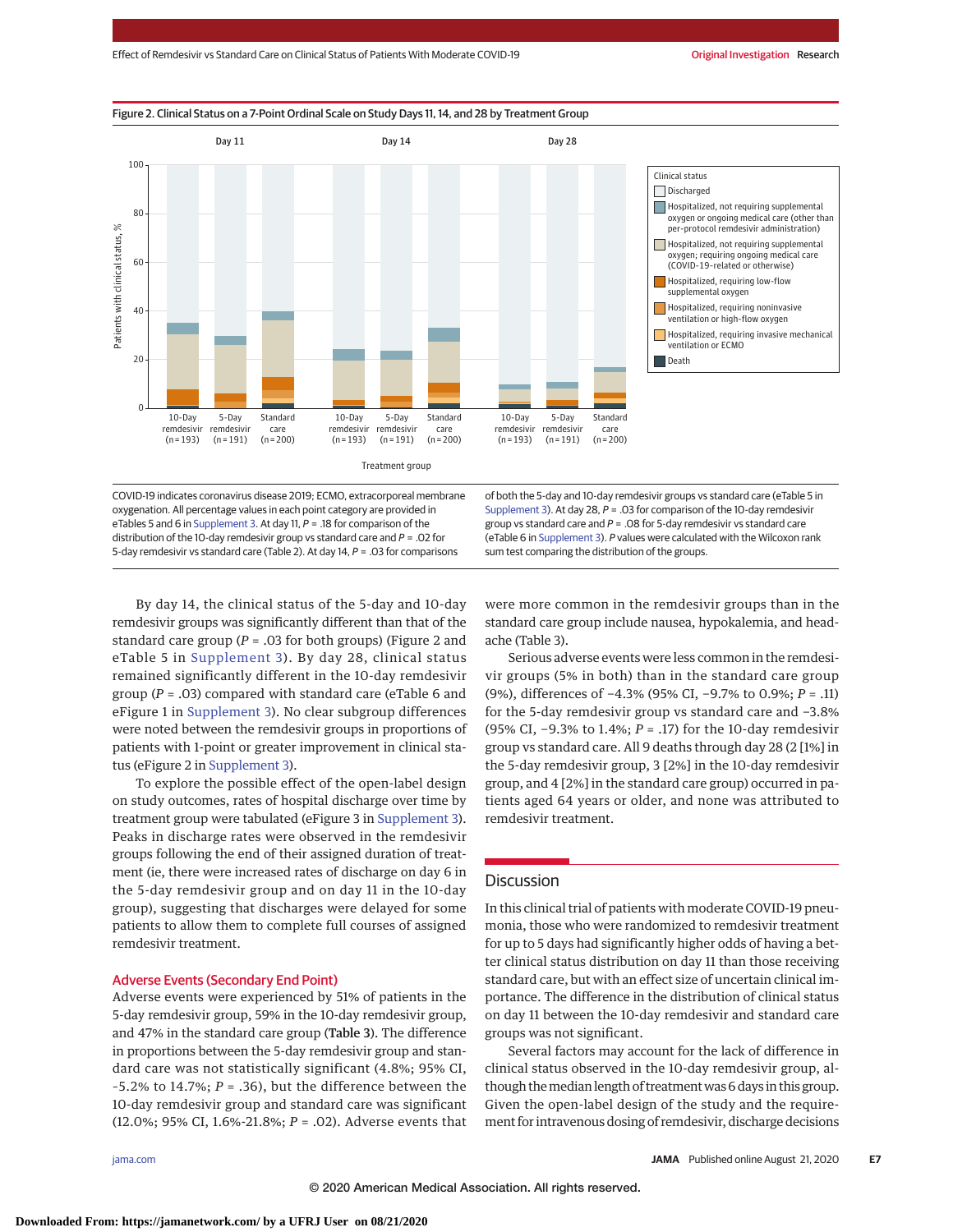

COVID-19 indicates coronavirus disease 2019; ECMO, extracorporeal membrane oxygenation. All percentage values in each point category are provided in eTables 5 and 6 in [Supplement 3.](https://jamanetwork.com/journals/jama/fullarticle/10.1001/jama.2020.16349?utm_campaign=articlePDF%26utm_medium=articlePDFlink%26utm_source=articlePDF%26utm_content=jama.2020.16349) At day 11, P = .18 for comparison of the distribution of the 10-day remdesivir group vs standard care and  $P = 0.02$  for 5-day remdesivir vs standard care (Table 2). At day 14, P = .03 for comparisons

of both the 5-day and 10-day remdesivir groups vs standard care (eTable 5 in [Supplement 3\)](https://jamanetwork.com/journals/jama/fullarticle/10.1001/jama.2020.16349?utm_campaign=articlePDF%26utm_medium=articlePDFlink%26utm_source=articlePDF%26utm_content=jama.2020.16349). At day 28,  $P = .03$  for comparison of the 10-day remdesivir group vs standard care and  $P = 0.08$  for 5-day remdesivir vs standard care (eTable 6 in [Supplement 3\)](https://jamanetwork.com/journals/jama/fullarticle/10.1001/jama.2020.16349?utm_campaign=articlePDF%26utm_medium=articlePDFlink%26utm_source=articlePDF%26utm_content=jama.2020.16349). P values were calculated with the Wilcoxon rank sum test comparing the distribution of the groups.

By day 14, the clinical status of the 5-day and 10-day remdesivir groups was significantly different than that of the standard care group ( $P = .03$  for both groups) (Figure 2 and eTable 5 in [Supplement 3\)](https://jamanetwork.com/journals/jama/fullarticle/10.1001/jama.2020.16349?utm_campaign=articlePDF%26utm_medium=articlePDFlink%26utm_source=articlePDF%26utm_content=jama.2020.16349). By day 28, clinical status remained significantly different in the 10-day remdesivir group (*P* = .03) compared with standard care (eTable 6 and eFigure 1 in [Supplement 3\)](https://jamanetwork.com/journals/jama/fullarticle/10.1001/jama.2020.16349?utm_campaign=articlePDF%26utm_medium=articlePDFlink%26utm_source=articlePDF%26utm_content=jama.2020.16349). No clear subgroup differences were noted between the remdesivir groups in proportions of patients with 1-point or greater improvement in clinical status (eFigure 2 in [Supplement 3\)](https://jamanetwork.com/journals/jama/fullarticle/10.1001/jama.2020.16349?utm_campaign=articlePDF%26utm_medium=articlePDFlink%26utm_source=articlePDF%26utm_content=jama.2020.16349).

To explore the possible effect of the open-label design on study outcomes, rates of hospital discharge over time by treatment group were tabulated (eFigure 3 in [Supplement 3\)](https://jamanetwork.com/journals/jama/fullarticle/10.1001/jama.2020.16349?utm_campaign=articlePDF%26utm_medium=articlePDFlink%26utm_source=articlePDF%26utm_content=jama.2020.16349). Peaks in discharge rates were observed in the remdesivir groups following the end of their assigned duration of treatment (ie, there were increased rates of discharge on day 6 in the 5-day remdesivir group and on day 11 in the 10-day group), suggesting that discharges were delayed for some patients to allow them to complete full courses of assigned remdesivir treatment.

## Adverse Events (Secondary End Point)

Adverse events were experienced by 51% of patients in the 5-day remdesivir group, 59% in the 10-day remdesivir group, and 47% in the standard care group (Table 3). The difference in proportions between the 5-day remdesivir group and standard care was not statistically significant (4.8%; 95% CI,  $-5.2\%$  to 14.7%;  $P = .36$ ), but the difference between the 10-day remdesivir group and standard care was significant (12.0%; 95% CI, 1.6%-21.8%; *P* = .02). Adverse events that were more common in the remdesivir groups than in the standard care group include nausea, hypokalemia, and headache (Table 3).

Serious adverse events were less common in the remdesivir groups (5% in both) than in the standard care group (9%), differences of −4.3% (95% CI, −9.7% to 0.9%; *P* = .11) for the 5-day remdesivir group vs standard care and −3.8% (95% CI, −9.3% to 1.4%; *P* = .17) for the 10-day remdesivir group vs standard care. All 9 deaths through day 28 (2 [1%] in the 5-day remdesivir group, 3 [2%] in the 10-day remdesivir group, and 4 [2%] in the standard care group) occurred in patients aged 64 years or older, and none was attributed to remdesivir treatment.

# **Discussion**

In this clinical trial of patients with moderate COVID-19 pneumonia, those who were randomized to remdesivir treatment for up to 5 days had significantly higher odds of having a better clinical status distribution on day 11 than those receiving standard care, but with an effect size of uncertain clinical importance. The difference in the distribution of clinical status on day 11 between the 10-day remdesivir and standard care groups was not significant.

Several factors may account for the lack of difference in clinical status observed in the 10-day remdesivir group, although the median length of treatment was 6 days in this group. Given the open-label design of the study and the requirement for intravenous dosing of remdesivir, discharge decisions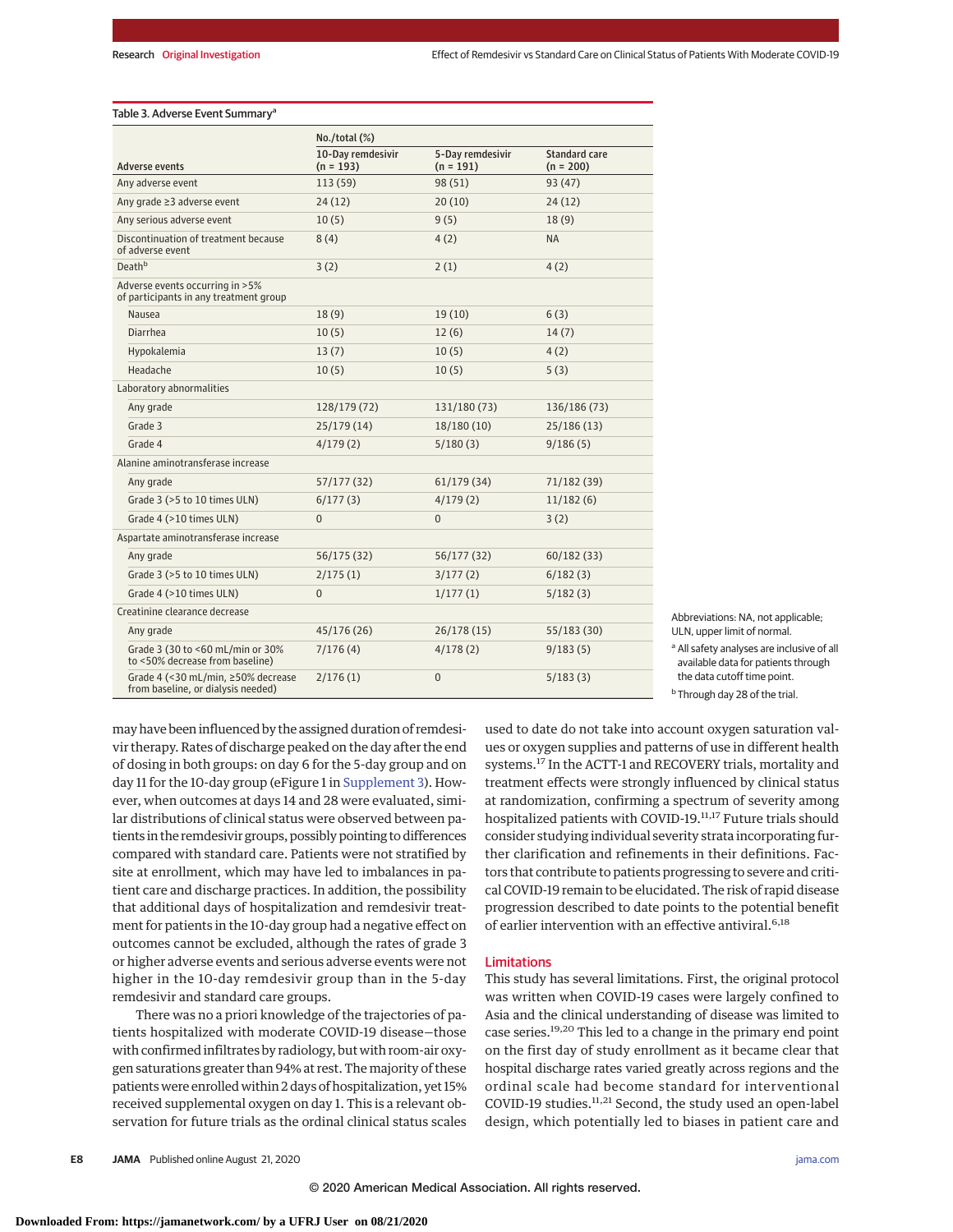#### Table 3. Adverse Event Summary<sup>a</sup>

|                                                                           | No. / total (%)                  |                                 |                              |  |
|---------------------------------------------------------------------------|----------------------------------|---------------------------------|------------------------------|--|
| Adverse events                                                            | 10-Day remdesivir<br>$(n = 193)$ | 5-Day remdesivir<br>$(n = 191)$ | Standard care<br>$(n = 200)$ |  |
| Any adverse event                                                         | 113 (59)                         | 98(51)                          | 93(47)                       |  |
| Any grade ≥3 adverse event                                                | 24(12)                           | 20(10)                          | 24(12)                       |  |
| Any serious adverse event                                                 | 10(5)                            | 9(5)                            | 18(9)                        |  |
| Discontinuation of treatment because<br>of adverse event                  | 8(4)                             | 4(2)                            | <b>NA</b>                    |  |
| Death <sup>b</sup>                                                        | 3(2)                             | 2(1)                            | 4(2)                         |  |
| Adverse events occurring in >5%<br>of participants in any treatment group |                                  |                                 |                              |  |
| Nausea                                                                    | 18(9)                            | 19(10)                          | 6(3)                         |  |
| <b>Diarrhea</b>                                                           | 10(5)                            | 12(6)                           | 14(7)                        |  |
| Hypokalemia                                                               | 13(7)                            | 10(5)                           | 4(2)                         |  |
| Headache                                                                  | 10(5)                            | 10(5)                           | 5(3)                         |  |
| Laboratory abnormalities                                                  |                                  |                                 |                              |  |
| Any grade                                                                 | 128/179 (72)                     | 131/180 (73)                    | 136/186 (73)                 |  |
| Grade 3                                                                   | 25/179(14)                       | 18/180 (10)                     | 25/186(13)                   |  |
| Grade 4                                                                   | 4/179(2)                         | 5/180(3)                        | 9/186(5)                     |  |
| Alanine aminotransferase increase                                         |                                  |                                 |                              |  |
| Any grade                                                                 | 57/177(32)                       | 61/179(34)                      | 71/182 (39)                  |  |
| Grade 3 (>5 to 10 times ULN)                                              | 6/177(3)                         | 4/179(2)                        | 11/182(6)                    |  |
| Grade 4 (>10 times ULN)                                                   | $\overline{0}$                   | $\overline{0}$                  | 3(2)                         |  |
| Aspartate aminotransferase increase                                       |                                  |                                 |                              |  |
| Any grade                                                                 | 56/175 (32)                      | 56/177 (32)                     | 60/182(33)                   |  |
| Grade 3 (>5 to 10 times ULN)                                              | 2/175(1)                         | 3/177(2)                        | 6/182(3)                     |  |
| Grade 4 (>10 times ULN)                                                   | $\overline{0}$                   | 1/177(1)                        | 5/182(3)                     |  |
| Creatinine clearance decrease                                             |                                  |                                 |                              |  |
| Any grade                                                                 | 45/176 (26)                      | 26/178(15)                      | 55/183(30)                   |  |
| Grade 3 (30 to <60 mL/min or 30%<br>to <50% decrease from baseline)       | 7/176(4)                         | 4/178(2)                        | 9/183(5)                     |  |
| Grade 4 (<30 mL/min, ≥50% decrease<br>from baseline, or dialysis needed)  | 2/176(1)                         | $\overline{0}$                  | 5/183(3)                     |  |

Abbreviations: NA, not applicable; ULN, upper limit of normal.

<sup>a</sup> All safety analyses are inclusive of all available data for patients through the data cutoff time point.

<sup>b</sup> Through day 28 of the trial.

may have been influenced by the assigned duration of remdesivir therapy. Rates of discharge peaked on the day after the end of dosing in both groups: on day 6 for the 5-day group and on day 11 for the 10-day group (eFigure 1 in [Supplement 3\)](https://jamanetwork.com/journals/jama/fullarticle/10.1001/jama.2020.16349?utm_campaign=articlePDF%26utm_medium=articlePDFlink%26utm_source=articlePDF%26utm_content=jama.2020.16349). However, when outcomes at days 14 and 28 were evaluated, similar distributions of clinical status were observed between patients in the remdesivir groups, possibly pointing to differences compared with standard care. Patients were not stratified by site at enrollment, which may have led to imbalances in patient care and discharge practices. In addition, the possibility that additional days of hospitalization and remdesivir treatment for patients in the 10-day group had a negative effect on outcomes cannot be excluded, although the rates of grade 3 or higher adverse events and serious adverse events were not higher in the 10-day remdesivir group than in the 5-day remdesivir and standard care groups.

There was no a priori knowledge of the trajectories of patients hospitalized with moderate COVID-19 disease—those with confirmed infiltrates by radiology, but with room-air oxygen saturations greater than 94% at rest. The majority of these patients were enrolled within 2 days of hospitalization, yet 15% received supplemental oxygen on day 1. This is a relevant observation for future trials as the ordinal clinical status scales used to date do not take into account oxygen saturation values or oxygen supplies and patterns of use in different health systems.17 In the ACTT-1 and RECOVERY trials, mortality and treatment effects were strongly influenced by clinical status at randomization, confirming a spectrum of severity among hospitalized patients with COVID-19.<sup>11,17</sup> Future trials should consider studying individual severity strata incorporating further clarification and refinements in their definitions. Factors that contribute to patients progressing to severe and critical COVID-19 remain to be elucidated. The risk of rapid disease progression described to date points to the potential benefit of earlier intervention with an effective antiviral.<sup>6,18</sup>

## Limitations

This study has several limitations. First, the original protocol was written when COVID-19 cases were largely confined to Asia and the clinical understanding of disease was limited to case series.19,20 This led to a change in the primary end point on the first day of study enrollment as it became clear that hospital discharge rates varied greatly across regions and the ordinal scale had become standard for interventional COVID-19 studies.11,21 Second, the study used an open-label design, which potentially led to biases in patient care and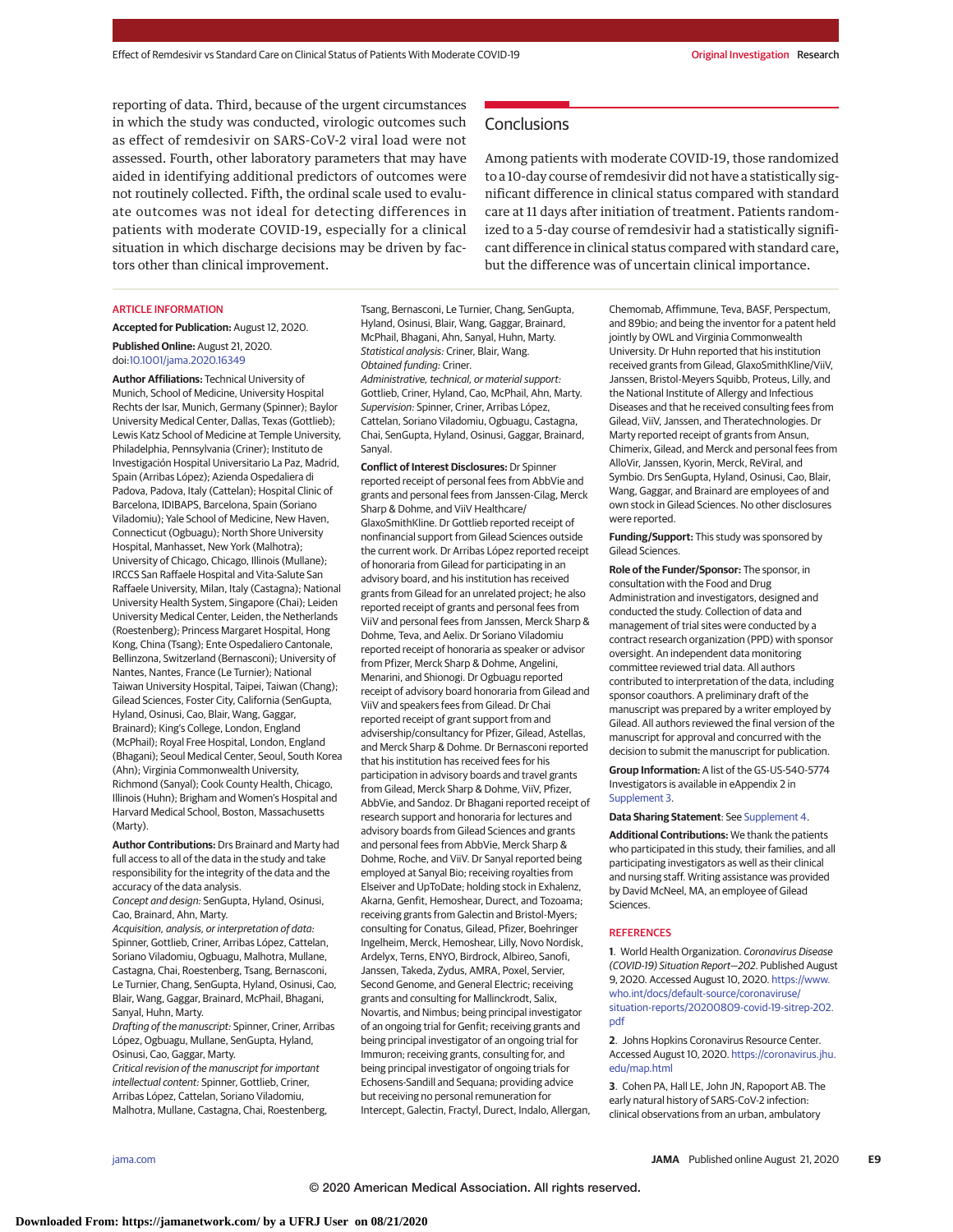reporting of data. Third, because of the urgent circumstances in which the study was conducted, virologic outcomes such as effect of remdesivir on SARS-CoV-2 viral load were not assessed. Fourth, other laboratory parameters that may have aided in identifying additional predictors of outcomes were not routinely collected. Fifth, the ordinal scale used to evaluate outcomes was not ideal for detecting differences in patients with moderate COVID-19, especially for a clinical situation in which discharge decisions may be driven by factors other than clinical improvement.

#### ARTICLE INFORMATION

**Accepted for Publication:** August 12, 2020. **Published Online:** August 21, 2020. doi[:10.1001/jama.2020.16349](https://jamanetwork.com/journals/jama/fullarticle/10.1001/jama.2020.16349?utm_campaign=articlePDF%26utm_medium=articlePDFlink%26utm_source=articlePDF%26utm_content=jama.2020.16349)

**Author Affiliations:** Technical University of Munich, School of Medicine, University Hospital Rechts der Isar, Munich, Germany (Spinner); Baylor University Medical Center, Dallas, Texas (Gottlieb); Lewis Katz School of Medicine at Temple University, Philadelphia, Pennsylvania (Criner); Instituto de Investigación Hospital Universitario La Paz, Madrid, Spain (Arribas López); Azienda Ospedaliera di Padova, Padova, Italy (Cattelan); Hospital Clinic of Barcelona, IDIBAPS, Barcelona, Spain (Soriano Viladomiu); Yale School of Medicine, New Haven, Connecticut (Ogbuagu); North Shore University Hospital, Manhasset, New York (Malhotra); University of Chicago, Chicago, Illinois (Mullane); IRCCS San Raffaele Hospital and Vita-Salute San Raffaele University, Milan, Italy (Castagna); National University Health System, Singapore (Chai); Leiden University Medical Center, Leiden, the Netherlands (Roestenberg); Princess Margaret Hospital, Hong Kong, China (Tsang); Ente Ospedaliero Cantonale, Bellinzona, Switzerland (Bernasconi); University of Nantes, Nantes, France (Le Turnier); National Taiwan University Hospital, Taipei, Taiwan (Chang); Gilead Sciences, Foster City, California (SenGupta, Hyland, Osinusi, Cao, Blair, Wang, Gaggar, Brainard); King's College, London, England (McPhail); Royal Free Hospital, London, England (Bhagani); Seoul Medical Center, Seoul, South Korea (Ahn); Virginia Commonwealth University, Richmond (Sanyal); Cook County Health, Chicago, Illinois (Huhn); Brigham and Women's Hospital and Harvard Medical School, Boston, Massachusetts (Marty).

**Author Contributions:** Drs Brainard and Marty had full access to all of the data in the study and take responsibility for the integrity of the data and the accuracy of the data analysis. Concept and design: SenGupta, Hyland, Osinusi, Cao, Brainard, Ahn, Marty. Acquisition, analysis, or interpretation of data: Spinner, Gottlieb, Criner, Arribas López, Cattelan, Soriano Viladomiu, Ogbuagu, Malhotra, Mullane, Castagna, Chai, Roestenberg, Tsang, Bernasconi, Le Turnier, Chang, SenGupta, Hyland, Osinusi, Cao, Blair, Wang, Gaggar, Brainard, McPhail, Bhagani, Sanyal, Huhn, Marty.

Drafting of the manuscript: Spinner, Criner, Arribas López, Ogbuagu, Mullane, SenGupta, Hyland, Osinusi, Cao, Gaggar, Marty.

Critical revision of the manuscript for important intellectual content: Spinner, Gottlieb, Criner, Arribas López, Cattelan, Soriano Viladomiu, Malhotra, Mullane, Castagna, Chai, Roestenberg, Tsang, Bernasconi, Le Turnier, Chang, SenGupta, Hyland, Osinusi, Blair, Wang, Gaggar, Brainard, McPhail, Bhagani, Ahn, Sanyal, Huhn, Marty. Statistical analysis: Criner, Blair, Wang. Obtained funding: Criner.

Administrative, technical, or material support: Gottlieb, Criner, Hyland, Cao, McPhail, Ahn, Marty. Supervision: Spinner, Criner, Arribas López, Cattelan, Soriano Viladomiu, Ogbuagu, Castagna, Chai, SenGupta, Hyland, Osinusi, Gaggar, Brainard, Sanyal.

**Conflict of Interest Disclosures:** Dr Spinner reported receipt of personal fees from AbbVie and grants and personal fees from Janssen-Cilag, Merck Sharp & Dohme, and ViiV Healthcare/ GlaxoSmithKline. Dr Gottlieb reported receipt of nonfinancial support from Gilead Sciences outside the current work. Dr Arribas López reported receipt of honoraria from Gilead for participating in an advisory board, and his institution has received grants from Gilead for an unrelated project; he also reported receipt of grants and personal fees from ViiV and personal fees from Janssen, Merck Sharp & Dohme, Teva, and Aelix. Dr Soriano Viladomiu reported receipt of honoraria as speaker or advisor from Pfizer, Merck Sharp & Dohme, Angelini, Menarini, and Shionogi. Dr Ogbuagu reported receipt of advisory board honoraria from Gilead and ViiV and speakers fees from Gilead. Dr Chai reported receipt of grant support from and advisership/consultancy for Pfizer, Gilead, Astellas, and Merck Sharp & Dohme. Dr Bernasconi reported that his institution has received fees for his participation in advisory boards and travel grants from Gilead, Merck Sharp & Dohme, ViiV, Pfizer, AbbVie, and Sandoz. Dr Bhagani reported receipt of research support and honoraria for lectures and advisory boards from Gilead Sciences and grants and personal fees from AbbVie, Merck Sharp & Dohme, Roche, and ViiV. Dr Sanyal reported being employed at Sanyal Bio; receiving royalties from Elseiver and UpToDate; holding stock in Exhalenz, Akarna, Genfit, Hemoshear, Durect, and Tozoama; receiving grants from Galectin and Bristol-Myers; consulting for Conatus, Gilead, Pfizer, Boehringer Ingelheim, Merck, Hemoshear, Lilly, Novo Nordisk, Ardelyx, Terns, ENYO, Birdrock, Albireo, Sanofi, Janssen, Takeda, Zydus, AMRA, Poxel, Servier, Second Genome, and General Electric; receiving grants and consulting for Mallinckrodt, Salix, Novartis, and Nimbus; being principal investigator of an ongoing trial for Genfit; receiving grants and being principal investigator of an ongoing trial for Immuron; receiving grants, consulting for, and being principal investigator of ongoing trials for Echosens-Sandill and Sequana; providing advice but receiving no personal remuneration for Intercept, Galectin, Fractyl, Durect, Indalo, Allergan,

**Conclusions** 

Among patients with moderate COVID-19, those randomized to a 10-day course of remdesivir did not have a statistically significant difference in clinical status compared with standard care at 11 days after initiation of treatment. Patients randomized to a 5-day course of remdesivir had a statistically significant difference in clinical status compared with standard care, but the difference was of uncertain clinical importance.

> Chemomab, Affimmune, Teva, BASF, Perspectum, and 89bio; and being the inventor for a patent held jointly by OWL and Virginia Commonwealth University. Dr Huhn reported that his institution received grants from Gilead, GlaxoSmithKline/ViiV, Janssen, Bristol-Meyers Squibb, Proteus, Lilly, and the National Institute of Allergy and Infectious Diseases and that he received consulting fees from Gilead, ViiV, Janssen, and Theratechnologies. Dr Marty reported receipt of grants from Ansun, Chimerix, Gilead, and Merck and personal fees from AlloVir, Janssen, Kyorin, Merck, ReViral, and Symbio. Drs SenGupta, Hyland, Osinusi, Cao, Blair, Wang, Gaggar, and Brainard are employees of and own stock in Gilead Sciences. No other disclosures were reported.

**Funding/Support:** This study was sponsored by Gilead Sciences.

**Role of the Funder/Sponsor:** The sponsor, in consultation with the Food and Drug Administration and investigators, designed and conducted the study. Collection of data and management of trial sites were conducted by a contract research organization (PPD) with sponsor oversight. An independent data monitoring committee reviewed trial data. All authors contributed to interpretation of the data, including sponsor coauthors. A preliminary draft of the manuscript was prepared by a writer employed by Gilead. All authors reviewed the final version of the manuscript for approval and concurred with the decision to submit the manuscript for publication.

**Group Information:** A list of the GS-US-540-5774 Investigators is available in eAppendix 2 in [Supplement 3.](https://jamanetwork.com/journals/jama/fullarticle/10.1001/jama.2020.16349?utm_campaign=articlePDF%26utm_medium=articlePDFlink%26utm_source=articlePDF%26utm_content=jama.2020.16349)

#### **Data Sharing Statement**: See [Supplement 4.](https://jamanetwork.com/journals/jama/fullarticle/10.1001/jama.2020.16349?utm_campaign=articlePDF%26utm_medium=articlePDFlink%26utm_source=articlePDF%26utm_content=jama.2020.16349)

**Additional Contributions:** We thank the patients who participated in this study, their families, and all participating investigators as well as their clinical and nursing staff. Writing assistance was provided by David McNeel, MA, an employee of Gilead **Sciences** 

### **REFERENCES**

**1**. World Health Organization. Coronavirus Disease (COVID-19) Situation Report—202. Published August 9, 2020. Accessed August 10, 2020. [https://www.](https://www.who.int/docs/default-source/coronaviruse/situation-reports/20200809-covid-19-sitrep-202.pdf) [who.int/docs/default-source/coronaviruse/](https://www.who.int/docs/default-source/coronaviruse/situation-reports/20200809-covid-19-sitrep-202.pdf) [situation-reports/20200809-covid-19-sitrep-202.](https://www.who.int/docs/default-source/coronaviruse/situation-reports/20200809-covid-19-sitrep-202.pdf) [pdf](https://www.who.int/docs/default-source/coronaviruse/situation-reports/20200809-covid-19-sitrep-202.pdf)

**2**. Johns Hopkins Coronavirus Resource Center. Accessed August 10, 2020. [https://coronavirus.jhu.](https://coronavirus.jhu.edu/map.html) [edu/map.html](https://coronavirus.jhu.edu/map.html)

**3**. Cohen PA, Hall LE, John JN, Rapoport AB. The early natural history of SARS-CoV-2 infection: clinical observations from an urban, ambulatory